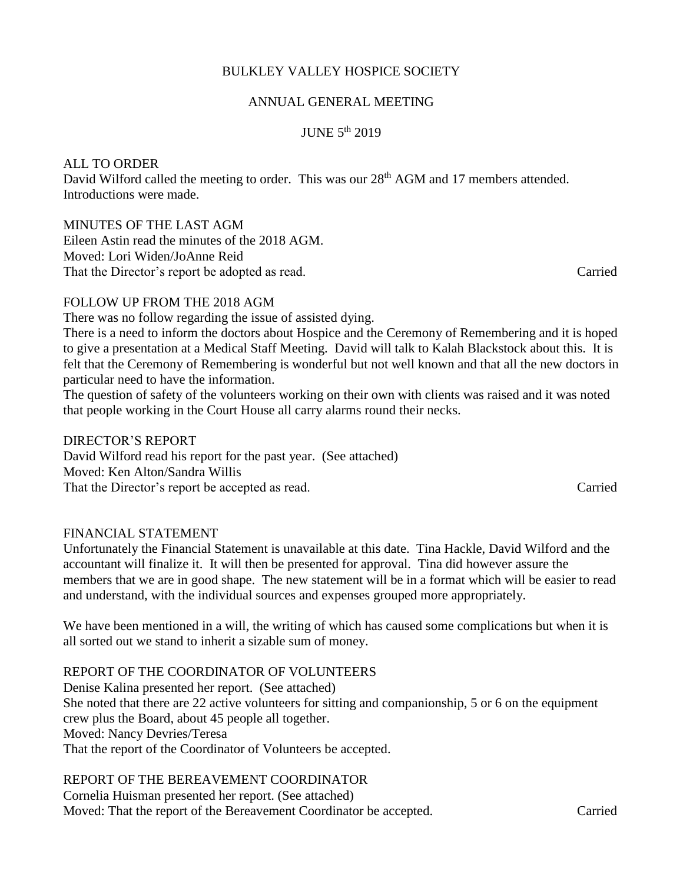# BULKLEY VALLEY HOSPICE SOCIETY

## ANNUAL GENERAL MEETING

#### JUNE 5th 2019

## ALL TO ORDER

David Wilford called the meeting to order. This was our 28<sup>th</sup> AGM and 17 members attended. Introductions were made.

### MINUTES OF THE LAST AGM

Eileen Astin read the minutes of the 2018 AGM. Moved: Lori Widen/JoAnne Reid That the Director's report be adopted as read. Carried

## FOLLOW UP FROM THE 2018 AGM

There was no follow regarding the issue of assisted dying.

There is a need to inform the doctors about Hospice and the Ceremony of Remembering and it is hoped to give a presentation at a Medical Staff Meeting. David will talk to Kalah Blackstock about this. It is felt that the Ceremony of Remembering is wonderful but not well known and that all the new doctors in particular need to have the information.

The question of safety of the volunteers working on their own with clients was raised and it was noted that people working in the Court House all carry alarms round their necks.

DIRECTOR'S REPORT David Wilford read his report for the past year. (See attached) Moved: Ken Alton/Sandra Willis That the Director's report be accepted as read. Carried

### FINANCIAL STATEMENT

Unfortunately the Financial Statement is unavailable at this date. Tina Hackle, David Wilford and the accountant will finalize it. It will then be presented for approval. Tina did however assure the members that we are in good shape. The new statement will be in a format which will be easier to read and understand, with the individual sources and expenses grouped more appropriately.

We have been mentioned in a will, the writing of which has caused some complications but when it is all sorted out we stand to inherit a sizable sum of money.

# REPORT OF THE COORDINATOR OF VOLUNTEERS

Denise Kalina presented her report. (See attached) She noted that there are 22 active volunteers for sitting and companionship, 5 or 6 on the equipment crew plus the Board, about 45 people all together. Moved: Nancy Devries/Teresa That the report of the Coordinator of Volunteers be accepted.

## REPORT OF THE BEREAVEMENT COORDINATOR

Cornelia Huisman presented her report. (See attached) Moved: That the report of the Bereavement Coordinator be accepted. Carried